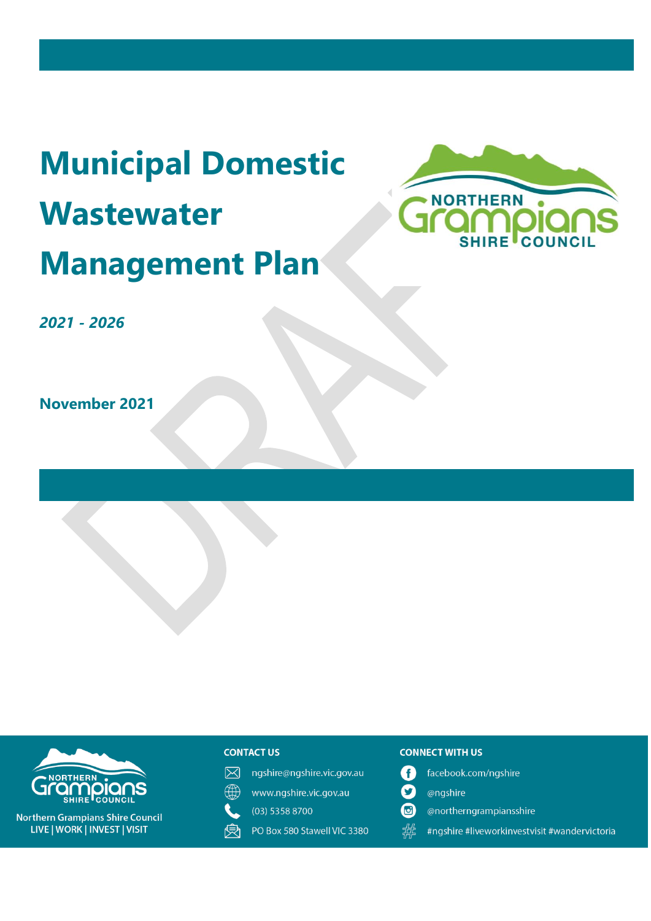# **Municipal Domestic Wastewater Management Plan**



*2021 - 2026*

**November 2021**





**Northern Grampians Shire Council** LIVE | WORK | INVEST | VISIT

#### **CONTACT US**

- 冈 ngshire@ngshire.vic.gov.au
- ∰ www.ngshire.vic.gov.au
- $(03)$  5358 8700
- 受 PO Box 580 Stawell VIC 3380

#### **CONNECT WITH US**

- facebook.com/ngshire A
- $\boldsymbol{\Omega}$ @ngshire
- $\mathbf{G}$ @northerngrampiansshire
- 器 #ngshire #liveworkinvestvisit #wandervictoria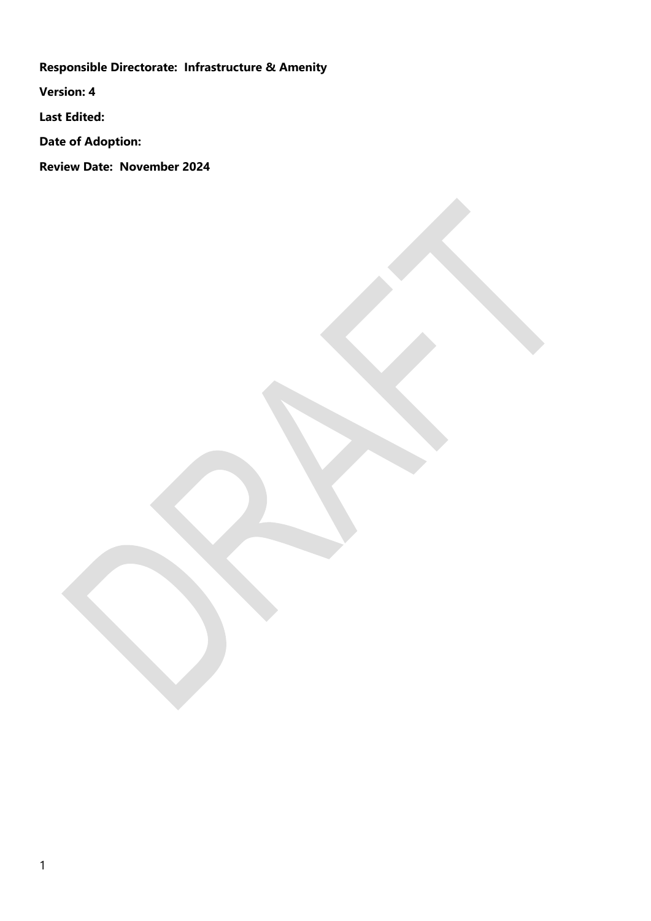**Responsible Directorate: Infrastructure & Amenity**

**Version: 4**

**Last Edited:** 

**Date of Adoption:** 

**Review Date: November 2024**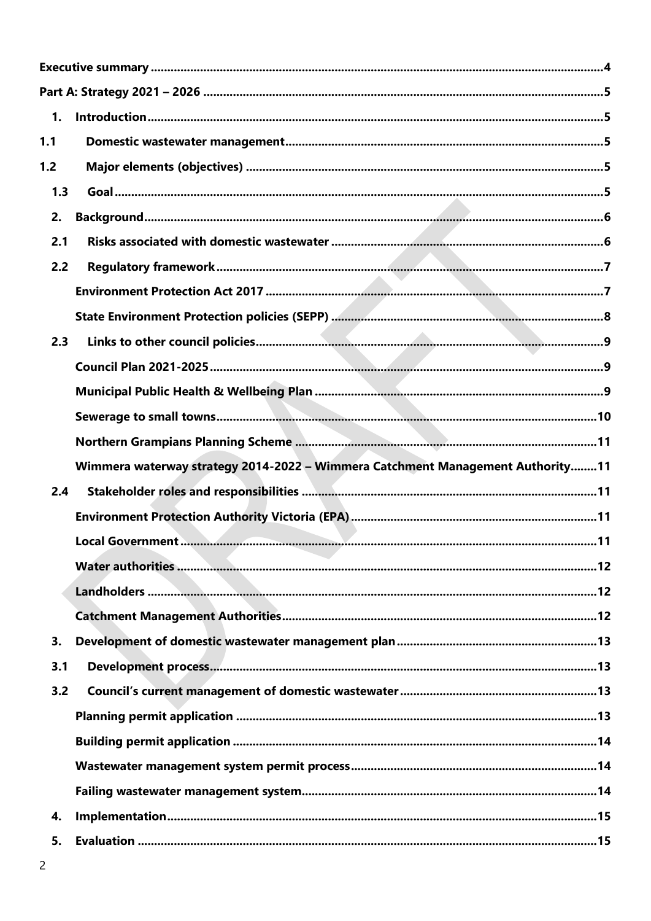| 1.  |                                                                                |  |
|-----|--------------------------------------------------------------------------------|--|
| 1.1 |                                                                                |  |
| 1.2 |                                                                                |  |
| 1.3 |                                                                                |  |
| 2.  |                                                                                |  |
| 2.1 |                                                                                |  |
| 2.2 |                                                                                |  |
|     |                                                                                |  |
|     |                                                                                |  |
| 2.3 |                                                                                |  |
|     |                                                                                |  |
|     |                                                                                |  |
|     |                                                                                |  |
|     |                                                                                |  |
|     | Wimmera waterway strategy 2014-2022 - Wimmera Catchment Management Authority11 |  |
| 2.4 |                                                                                |  |
|     |                                                                                |  |
|     |                                                                                |  |
|     |                                                                                |  |
|     |                                                                                |  |
|     |                                                                                |  |
| 3.  |                                                                                |  |
| 3.1 |                                                                                |  |
| 3.2 |                                                                                |  |
|     |                                                                                |  |
|     |                                                                                |  |
|     |                                                                                |  |
|     |                                                                                |  |
| 4.  |                                                                                |  |
| 5.  |                                                                                |  |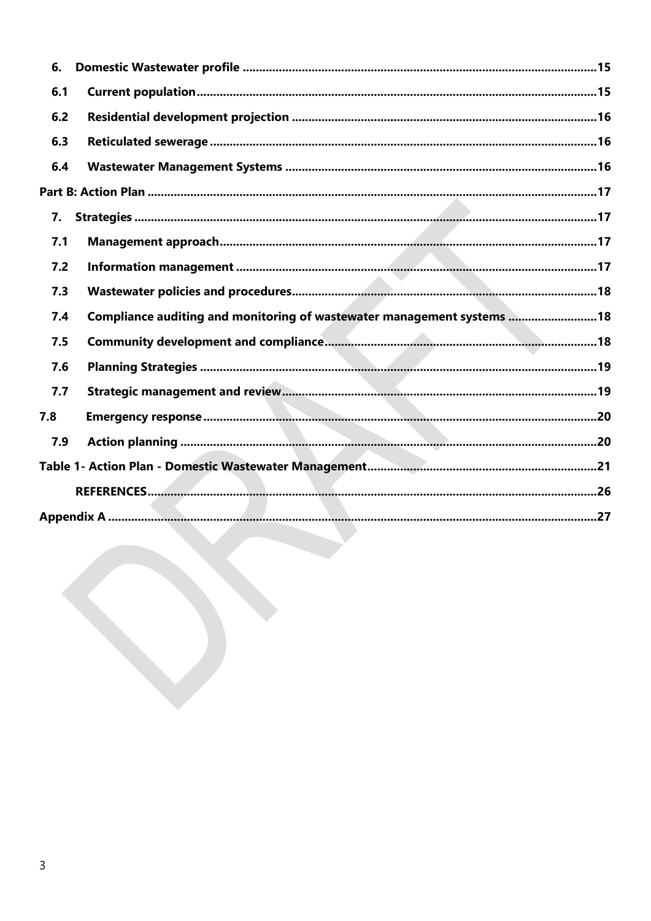| 6.  |                                                                         |  |
|-----|-------------------------------------------------------------------------|--|
| 6.1 |                                                                         |  |
| 6.2 |                                                                         |  |
| 6.3 |                                                                         |  |
| 6.4 |                                                                         |  |
|     |                                                                         |  |
| 7.  |                                                                         |  |
| 7.1 |                                                                         |  |
| 7.2 |                                                                         |  |
| 7.3 |                                                                         |  |
| 7.4 | Compliance auditing and monitoring of wastewater management systems  18 |  |
| 7.5 |                                                                         |  |
| 7.6 |                                                                         |  |
| 7.7 |                                                                         |  |
| 7.8 |                                                                         |  |
| 7.9 |                                                                         |  |
|     |                                                                         |  |
|     |                                                                         |  |
|     |                                                                         |  |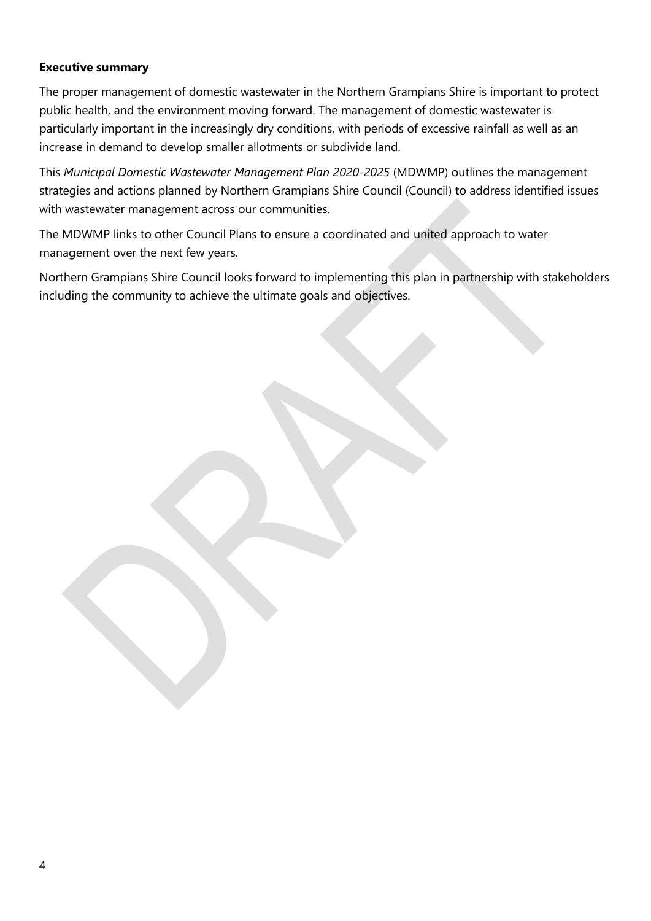#### <span id="page-4-0"></span>**Executive summary**

The proper management of domestic wastewater in the Northern Grampians Shire is important to protect public health, and the environment moving forward. The management of domestic wastewater is particularly important in the increasingly dry conditions, with periods of excessive rainfall as well as an increase in demand to develop smaller allotments or subdivide land.

This *Municipal Domestic Wastewater Management Plan 2020-2025* (MDWMP) outlines the management strategies and actions planned by Northern Grampians Shire Council (Council) to address identified issues with wastewater management across our communities.

The MDWMP links to other Council Plans to ensure a coordinated and united approach to water management over the next few years.

Northern Grampians Shire Council looks forward to implementing this plan in partnership with stakeholders including the community to achieve the ultimate goals and objectives.

4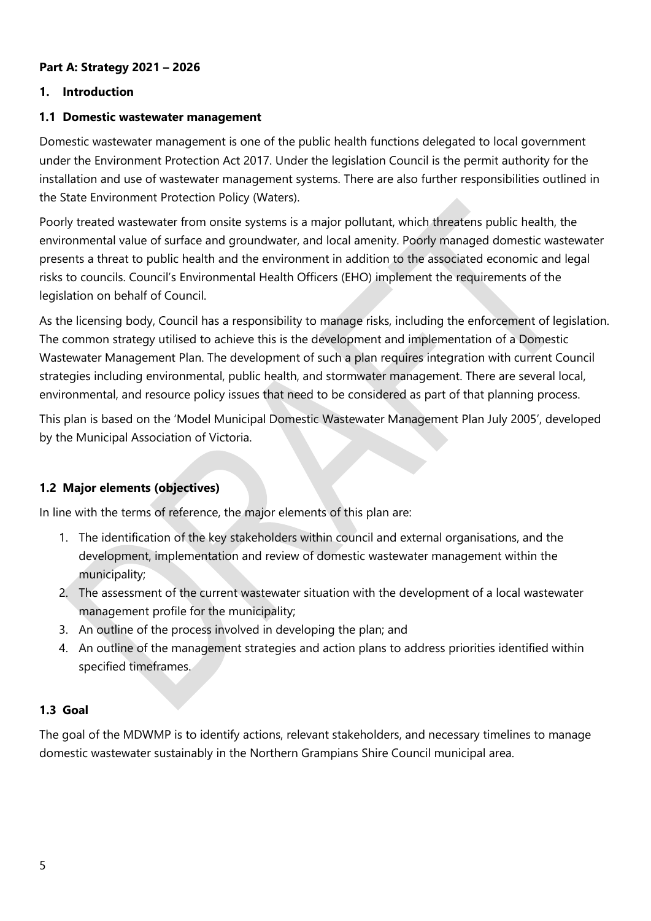#### <span id="page-5-0"></span>**Part A: Strategy 2021 – 2026**

#### <span id="page-5-1"></span>**1. Introduction**

#### <span id="page-5-2"></span>**1.1 Domestic wastewater management**

Domestic wastewater management is one of the public health functions delegated to local government under the Environment Protection Act 2017. Under the legislation Council is the permit authority for the installation and use of wastewater management systems. There are also further responsibilities outlined in the State Environment Protection Policy (Waters).

Poorly treated wastewater from onsite systems is a major pollutant, which threatens public health, the environmental value of surface and groundwater, and local amenity. Poorly managed domestic wastewater presents a threat to public health and the environment in addition to the associated economic and legal risks to councils. Council's Environmental Health Officers (EHO) implement the requirements of the legislation on behalf of Council.

As the licensing body, Council has a responsibility to manage risks, including the enforcement of legislation. The common strategy utilised to achieve this is the development and implementation of a Domestic Wastewater Management Plan. The development of such a plan requires integration with current Council strategies including environmental, public health, and stormwater management. There are several local, environmental, and resource policy issues that need to be considered as part of that planning process.

This plan is based on the 'Model Municipal Domestic Wastewater Management Plan July 2005', developed by the Municipal Association of Victoria.

#### <span id="page-5-3"></span>**1.2 Major elements (objectives)**

In line with the terms of reference, the major elements of this plan are:

- 1. The identification of the key stakeholders within council and external organisations, and the development, implementation and review of domestic wastewater management within the municipality;
- 2. The assessment of the current wastewater situation with the development of a local wastewater management profile for the municipality;
- 3. An outline of the process involved in developing the plan; and
- 4. An outline of the management strategies and action plans to address priorities identified within specified timeframes.

#### <span id="page-5-4"></span>**1.3 Goal**

The goal of the MDWMP is to identify actions, relevant stakeholders, and necessary timelines to manage domestic wastewater sustainably in the Northern Grampians Shire Council municipal area.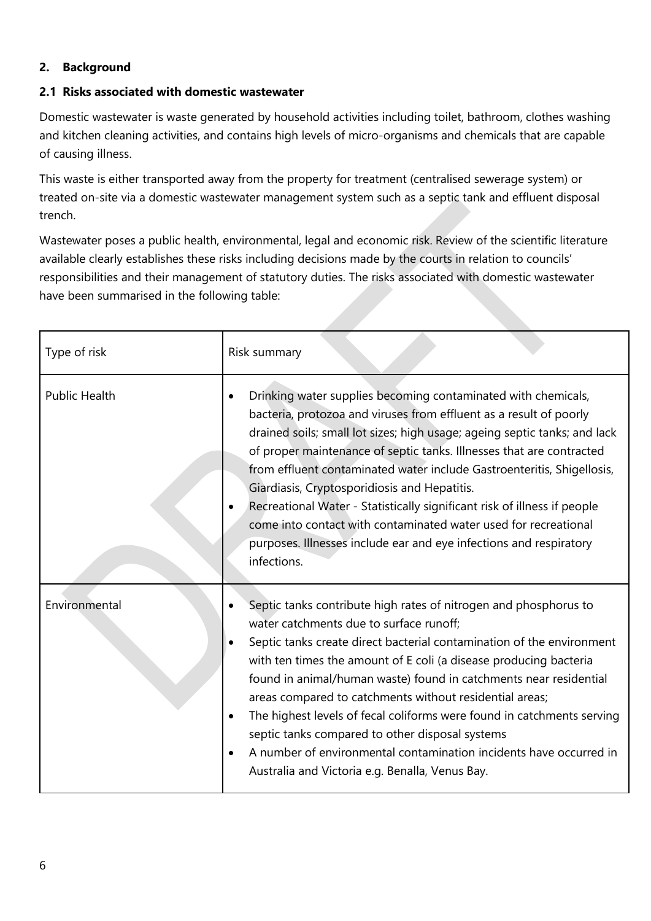#### <span id="page-6-0"></span>**2. Background**

#### <span id="page-6-1"></span>**2.1 Risks associated with domestic wastewater**

Domestic wastewater is waste generated by household activities including toilet, bathroom, clothes washing and kitchen cleaning activities, and contains high levels of micro-organisms and chemicals that are capable of causing illness.

This waste is either transported away from the property for treatment (centralised sewerage system) or treated on-site via a domestic wastewater management system such as a septic tank and effluent disposal trench.

Wastewater poses a public health, environmental, legal and economic risk. Review of the scientific literature available clearly establishes these risks including decisions made by the courts in relation to councils' responsibilities and their management of statutory duties. The risks associated with domestic wastewater have been summarised in the following table:

| Type of risk         | Risk summary                                                                                                                                                                                                                                                                                                                                                                                                                                                                                                                                                                                                                                           |  |  |  |
|----------------------|--------------------------------------------------------------------------------------------------------------------------------------------------------------------------------------------------------------------------------------------------------------------------------------------------------------------------------------------------------------------------------------------------------------------------------------------------------------------------------------------------------------------------------------------------------------------------------------------------------------------------------------------------------|--|--|--|
| <b>Public Health</b> | Drinking water supplies becoming contaminated with chemicals,<br>bacteria, protozoa and viruses from effluent as a result of poorly<br>drained soils; small lot sizes; high usage; ageing septic tanks; and lack<br>of proper maintenance of septic tanks. Illnesses that are contracted<br>from effluent contaminated water include Gastroenteritis, Shigellosis,<br>Giardiasis, Cryptosporidiosis and Hepatitis.<br>Recreational Water - Statistically significant risk of illness if people<br>come into contact with contaminated water used for recreational<br>purposes. Illnesses include ear and eye infections and respiratory<br>infections. |  |  |  |
| Environmental        | Septic tanks contribute high rates of nitrogen and phosphorus to<br>water catchments due to surface runoff;<br>Septic tanks create direct bacterial contamination of the environment<br>with ten times the amount of E coli (a disease producing bacteria<br>found in animal/human waste) found in catchments near residential<br>areas compared to catchments without residential areas;<br>The highest levels of fecal coliforms were found in catchments serving<br>septic tanks compared to other disposal systems<br>A number of environmental contamination incidents have occurred in<br>Australia and Victoria e.g. Benalla, Venus Bay.        |  |  |  |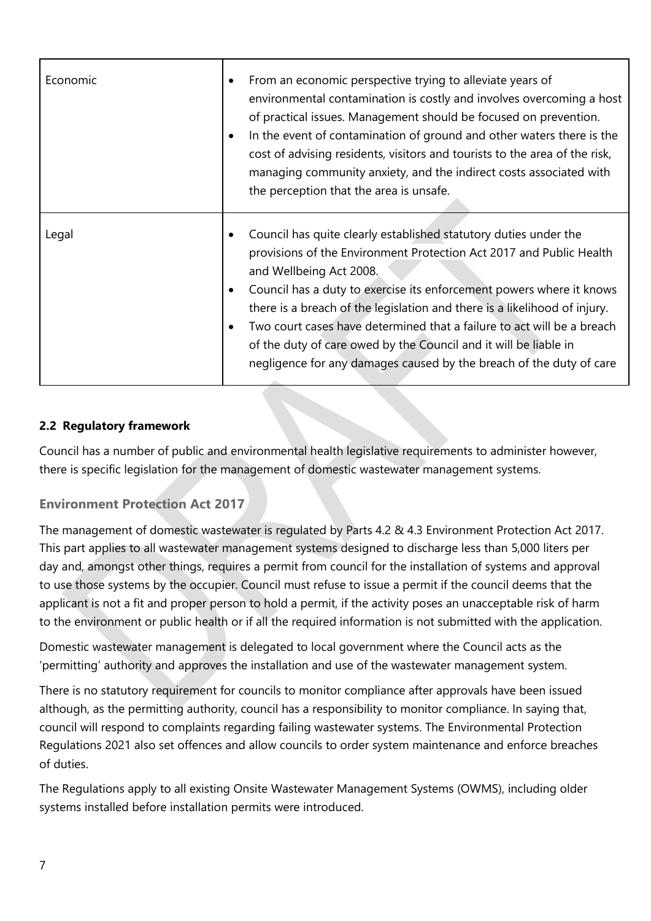| Economic | From an economic perspective trying to alleviate years of<br>$\bullet$<br>environmental contamination is costly and involves overcoming a host<br>of practical issues. Management should be focused on prevention.<br>In the event of contamination of ground and other waters there is the<br>$\bullet$<br>cost of advising residents, visitors and tourists to the area of the risk,<br>managing community anxiety, and the indirect costs associated with<br>the perception that the area is unsafe.                                                                |
|----------|------------------------------------------------------------------------------------------------------------------------------------------------------------------------------------------------------------------------------------------------------------------------------------------------------------------------------------------------------------------------------------------------------------------------------------------------------------------------------------------------------------------------------------------------------------------------|
| Legal    | Council has quite clearly established statutory duties under the<br>provisions of the Environment Protection Act 2017 and Public Health<br>and Wellbeing Act 2008.<br>Council has a duty to exercise its enforcement powers where it knows<br>$\bullet$<br>there is a breach of the legislation and there is a likelihood of injury.<br>Two court cases have determined that a failure to act will be a breach<br>$\bullet$<br>of the duty of care owed by the Council and it will be liable in<br>negligence for any damages caused by the breach of the duty of care |

## <span id="page-7-0"></span>**2.2 Regulatory framework**

Council has a number of public and environmental health legislative requirements to administer however, there is specific legislation for the management of domestic wastewater management systems.

## <span id="page-7-1"></span>**Environment Protection Act 2017**

The management of domestic wastewater is regulated by Parts 4.2 & 4.3 Environment Protection Act 2017. This part applies to all wastewater management systems designed to discharge less than 5,000 liters per day and, amongst other things, requires a permit from council for the installation of systems and approval to use those systems by the occupier. Council must refuse to issue a permit if the council deems that the applicant is not a fit and proper person to hold a permit, if the activity poses an unacceptable risk of harm to the environment or public health or if all the required information is not submitted with the application.

Domestic wastewater management is delegated to local government where the Council acts as the 'permitting' authority and approves the installation and use of the wastewater management system.

There is no statutory requirement for councils to monitor compliance after approvals have been issued although, as the permitting authority, council has a responsibility to monitor compliance. In saying that, council will respond to complaints regarding failing wastewater systems. The Environmental Protection Regulations 2021 also set offences and allow councils to order system maintenance and enforce breaches of duties.

The Regulations apply to all existing Onsite Wastewater Management Systems (OWMS), including older systems installed before installation permits were introduced.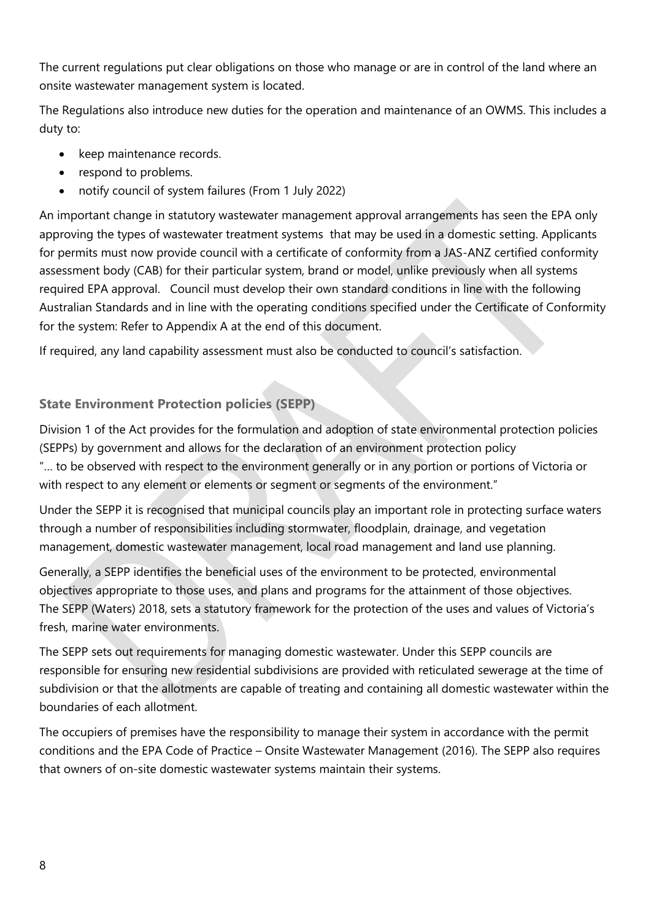The current regulations put clear obligations on those who manage or are in control of the land where an onsite wastewater management system is located.

The Regulations also introduce new duties for the operation and maintenance of an OWMS. This includes a duty to:

- keep maintenance records.
- respond to problems.
- notify council of system failures (From 1 July 2022)

An important change in statutory wastewater management approval arrangements has seen the EPA only approving the types of wastewater treatment systems that may be used in a domestic setting. Applicants for permits must now provide council with a certificate of conformity from a JAS-ANZ certified conformity assessment body (CAB) for their particular system, brand or model, unlike previously when all systems required EPA approval. Council must develop their own standard conditions in line with the following Australian Standards and in line with the operating conditions specified under the Certificate of Conformity for the system: Refer to Appendix A at the end of this document.

If required, any land capability assessment must also be conducted to council's satisfaction.

## <span id="page-8-0"></span>**State Environment Protection policies (SEPP)**

Division 1 of the Act provides for the formulation and adoption of state environmental protection policies (SEPPs) by government and allows for the declaration of an environment protection policy "… to be observed with respect to the environment generally or in any portion or portions of Victoria or with respect to any element or elements or segment or segments of the environment."

Under the SEPP it is recognised that municipal councils play an important role in protecting surface waters through a number of responsibilities including stormwater, floodplain, drainage, and vegetation management, domestic wastewater management, local road management and land use planning.

Generally, a SEPP identifies the beneficial uses of the environment to be protected, environmental objectives appropriate to those uses, and plans and programs for the attainment of those objectives. The SEPP (Waters) 2018, sets a statutory framework for the protection of the uses and values of Victoria's fresh, marine water environments.

The SEPP sets out requirements for managing domestic wastewater. Under this SEPP councils are responsible for ensuring new residential subdivisions are provided with reticulated sewerage at the time of subdivision or that the allotments are capable of treating and containing all domestic wastewater within the boundaries of each allotment.

The occupiers of premises have the responsibility to manage their system in accordance with the permit conditions and the EPA Code of Practice – Onsite Wastewater Management (2016). The SEPP also requires that owners of on-site domestic wastewater systems maintain their systems.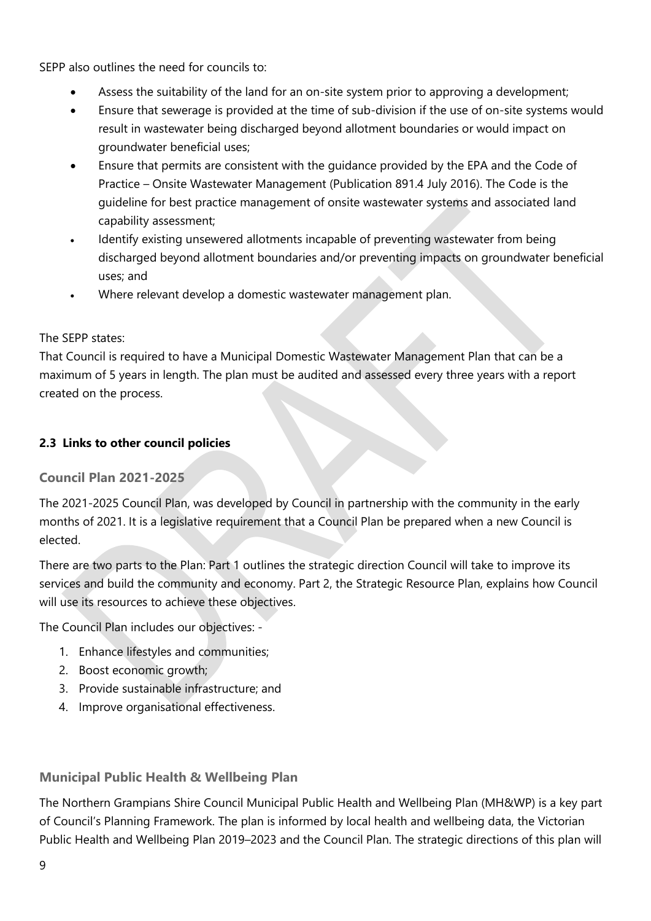SEPP also outlines the need for councils to:

- Assess the suitability of the land for an on-site system prior to approving a development;
- Ensure that sewerage is provided at the time of sub-division if the use of on-site systems would result in wastewater being discharged beyond allotment boundaries or would impact on groundwater beneficial uses;
- Ensure that permits are consistent with the guidance provided by the EPA and the Code of Practice – Onsite Wastewater Management (Publication 891.4 July 2016). The Code is the guideline for best practice management of onsite wastewater systems and associated land capability assessment;
- Identify existing unsewered allotments incapable of preventing wastewater from being discharged beyond allotment boundaries and/or preventing impacts on groundwater beneficial uses; and
- Where relevant develop a domestic wastewater management plan.

## The SEPP states:

That Council is required to have a Municipal Domestic Wastewater Management Plan that can be a maximum of 5 years in length. The plan must be audited and assessed every three years with a report created on the process.

## <span id="page-9-0"></span>**2.3 Links to other council policies**

## <span id="page-9-1"></span>**Council Plan 2021-2025**

The 2021-2025 Council Plan, was developed by Council in partnership with the community in the early months of 2021. It is a legislative requirement that a Council Plan be prepared when a new Council is elected.

There are two parts to the Plan: Part 1 outlines the strategic direction Council will take to improve its services and build the community and economy. Part 2, the Strategic Resource Plan, explains how Council will use its resources to achieve these objectives.

The Council Plan includes our objectives: -

- 1. Enhance lifestyles and communities;
- 2. Boost economic growth;
- 3. Provide sustainable infrastructure; and
- 4. Improve organisational effectiveness.

## <span id="page-9-2"></span>**Municipal Public Health & Wellbeing Plan**

The Northern Grampians Shire Council Municipal Public Health and Wellbeing Plan (MH&WP) is a key part of Council's Planning Framework. The plan is informed by local health and wellbeing data, the Victorian Public Health and Wellbeing Plan 2019–2023 and the Council Plan. The strategic directions of this plan will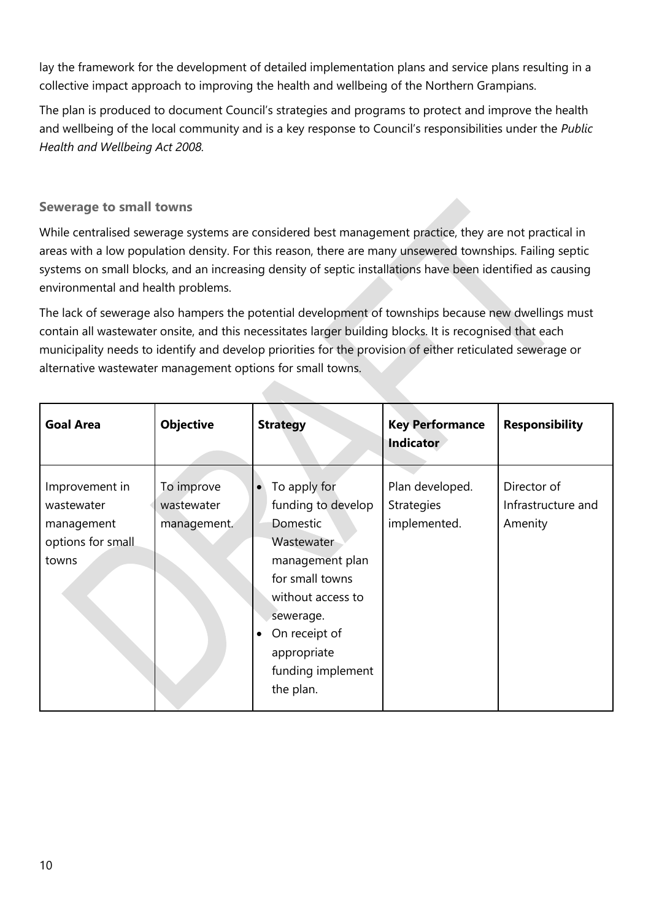lay the framework for the development of detailed implementation plans and service plans resulting in a collective impact approach to improving the health and wellbeing of the Northern Grampians.

The plan is produced to document Council's strategies and programs to protect and improve the health and wellbeing of the local community and is a key response to Council's responsibilities under the *Public Health and Wellbeing Act 2008.*

#### <span id="page-10-0"></span>**Sewerage to small towns**

While centralised sewerage systems are considered best management practice, they are not practical in areas with a low population density. For this reason, there are many unsewered townships. Failing septic systems on small blocks, and an increasing density of septic installations have been identified as causing environmental and health problems.

The lack of sewerage also hampers the potential development of townships because new dwellings must contain all wastewater onsite, and this necessitates larger building blocks. It is recognised that each municipality needs to identify and develop priorities for the provision of either reticulated sewerage or alternative wastewater management options for small towns.

| <b>Goal Area</b>                                                         | <b>Objective</b>                        | <b>Strategy</b>                                                                                                                                                                                               | <b>Key Performance</b><br>Indicator           | <b>Responsibility</b>                        |
|--------------------------------------------------------------------------|-----------------------------------------|---------------------------------------------------------------------------------------------------------------------------------------------------------------------------------------------------------------|-----------------------------------------------|----------------------------------------------|
| Improvement in<br>wastewater<br>management<br>options for small<br>towns | To improve<br>wastewater<br>management. | To apply for<br>funding to develop<br><b>Domestic</b><br>Wastewater<br>management plan<br>for small towns<br>without access to<br>sewerage.<br>On receipt of<br>appropriate<br>funding implement<br>the plan. | Plan developed.<br>Strategies<br>implemented. | Director of<br>Infrastructure and<br>Amenity |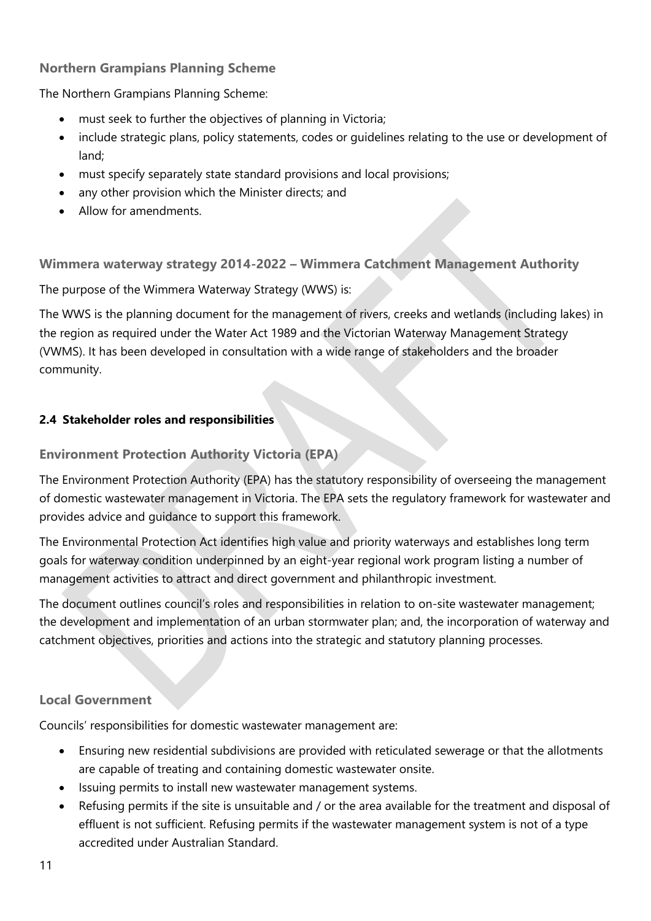#### <span id="page-11-0"></span>**Northern Grampians Planning Scheme**

The Northern Grampians Planning Scheme:

- must seek to further the objectives of planning in Victoria;
- include strategic plans, policy statements, codes or guidelines relating to the use or development of land;
- must specify separately state standard provisions and local provisions;
- any other provision which the Minister directs; and
- Allow for amendments.

<span id="page-11-1"></span>**Wimmera waterway strategy 2014-2022 – Wimmera Catchment Management Authority**

The purpose of the Wimmera Waterway Strategy (WWS) is:

The WWS is the planning document for the management of rivers, creeks and wetlands (including lakes) in the region as required under the Water Act 1989 and the Victorian Waterway Management Strategy (VWMS). It has been developed in consultation with a wide range of stakeholders and the broader community.

## <span id="page-11-2"></span>**2.4 Stakeholder roles and responsibilities**

#### <span id="page-11-3"></span>**Environment Protection Authority Victoria (EPA)**

The Environment Protection Authority (EPA) has the statutory responsibility of overseeing the management of domestic wastewater management in Victoria. The EPA sets the regulatory framework for wastewater and provides advice and guidance to support this framework.

The Environmental Protection Act identifies high value and priority waterways and establishes long term goals for waterway condition underpinned by an eight-year regional work program listing a number of management activities to attract and direct government and philanthropic investment.

The document outlines council's roles and responsibilities in relation to on-site wastewater management; the development and implementation of an urban stormwater plan; and, the incorporation of waterway and catchment objectives, priorities and actions into the strategic and statutory planning processes.

## <span id="page-11-4"></span>**Local Government**

Councils' responsibilities for domestic wastewater management are:

- Ensuring new residential subdivisions are provided with reticulated sewerage or that the allotments are capable of treating and containing domestic wastewater onsite.
- Issuing permits to install new wastewater management systems.
- Refusing permits if the site is unsuitable and / or the area available for the treatment and disposal of effluent is not sufficient. Refusing permits if the wastewater management system is not of a type accredited under Australian Standard.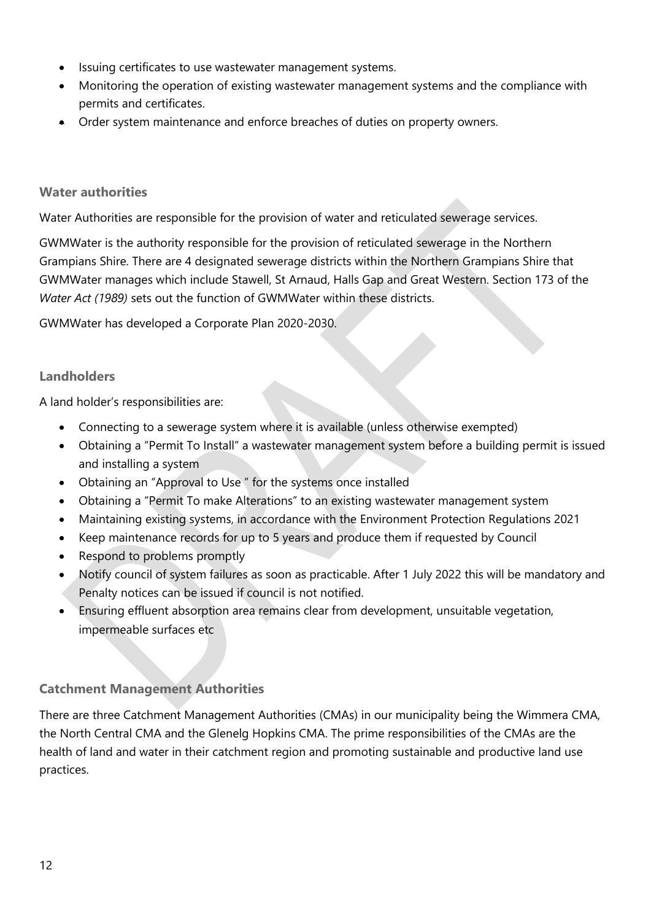- Issuing certificates to use wastewater management systems.
- Monitoring the operation of existing wastewater management systems and the compliance with permits and certificates.
- Order system maintenance and enforce breaches of duties on property owners.

#### <span id="page-12-0"></span>**Water authorities**

Water Authorities are responsible for the provision of water and reticulated sewerage services.

GWMWater is the authority responsible for the provision of reticulated sewerage in the Northern Grampians Shire. There are 4 designated sewerage districts within the Northern Grampians Shire that GWMWater manages which include Stawell, St Arnaud, Halls Gap and Great Western. Section 173 of the *Water Act (1989)* sets out the function of GWMWater within these districts.

GWMWater has developed a Corporate Plan 2020-2030.

#### <span id="page-12-1"></span>**Landholders**

A land holder's responsibilities are:

- Connecting to a sewerage system where it is available (unless otherwise exempted)
- Obtaining a "Permit To Install" a wastewater management system before a building permit is issued and installing a system
- Obtaining an "Approval to Use " for the systems once installed
- Obtaining a "Permit To make Alterations" to an existing wastewater management system
- Maintaining existing systems, in accordance with the Environment Protection Regulations 2021
- Keep maintenance records for up to 5 years and produce them if requested by Council
- Respond to problems promptly
- Notify council of system failures as soon as practicable. After 1 July 2022 this will be mandatory and Penalty notices can be issued if council is not notified.
- Ensuring effluent absorption area remains clear from development, unsuitable vegetation, impermeable surfaces etc

## <span id="page-12-2"></span>**Catchment Management Authorities**

There are three Catchment Management Authorities (CMAs) in our municipality being the Wimmera CMA, the North Central CMA and the Glenelg Hopkins CMA. The prime responsibilities of the CMAs are the health of land and water in their catchment region and promoting sustainable and productive land use practices.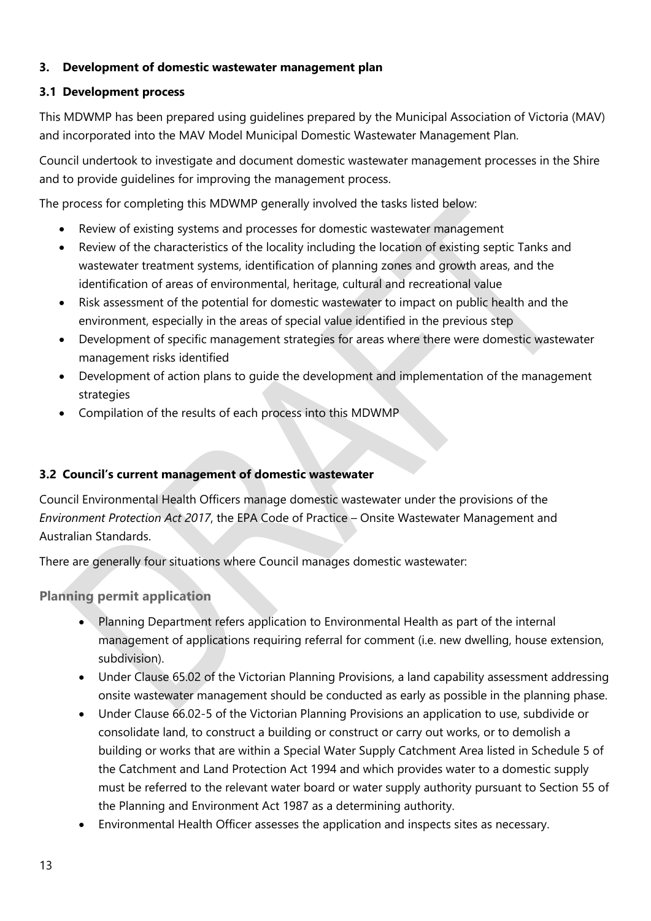#### <span id="page-13-0"></span>**3. Development of domestic wastewater management plan**

#### <span id="page-13-1"></span>**3.1 Development process**

This MDWMP has been prepared using guidelines prepared by the Municipal Association of Victoria (MAV) and incorporated into the MAV Model Municipal Domestic Wastewater Management Plan.

Council undertook to investigate and document domestic wastewater management processes in the Shire and to provide guidelines for improving the management process.

The process for completing this MDWMP generally involved the tasks listed below:

- Review of existing systems and processes for domestic wastewater management
- Review of the characteristics of the locality including the location of existing septic Tanks and wastewater treatment systems, identification of planning zones and growth areas, and the identification of areas of environmental, heritage, cultural and recreational value
- Risk assessment of the potential for domestic wastewater to impact on public health and the environment, especially in the areas of special value identified in the previous step
- Development of specific management strategies for areas where there were domestic wastewater management risks identified
- Development of action plans to guide the development and implementation of the management strategies
- Compilation of the results of each process into this MDWMP

## <span id="page-13-2"></span>**3.2 Council's current management of domestic wastewater**

Council Environmental Health Officers manage domestic wastewater under the provisions of the *Environment Protection Act 2017*, the EPA Code of Practice – Onsite Wastewater Management and Australian Standards.

There are generally four situations where Council manages domestic wastewater:

<span id="page-13-3"></span>**Planning permit application**

- Planning Department refers application to Environmental Health as part of the internal management of applications requiring referral for comment (i.e. new dwelling, house extension, subdivision).
- Under Clause 65.02 of the Victorian Planning Provisions, a land capability assessment addressing onsite wastewater management should be conducted as early as possible in the planning phase.
- Under Clause 66.02-5 of the Victorian Planning Provisions an application to use, subdivide or consolidate land, to construct a building or construct or carry out works, or to demolish a building or works that are within a Special Water Supply Catchment Area listed in Schedule 5 of the Catchment and Land Protection Act 1994 and which provides water to a domestic supply must be referred to the relevant water board or water supply authority pursuant to Section 55 of the Planning and Environment Act 1987 as a determining authority.
- Environmental Health Officer assesses the application and inspects sites as necessary.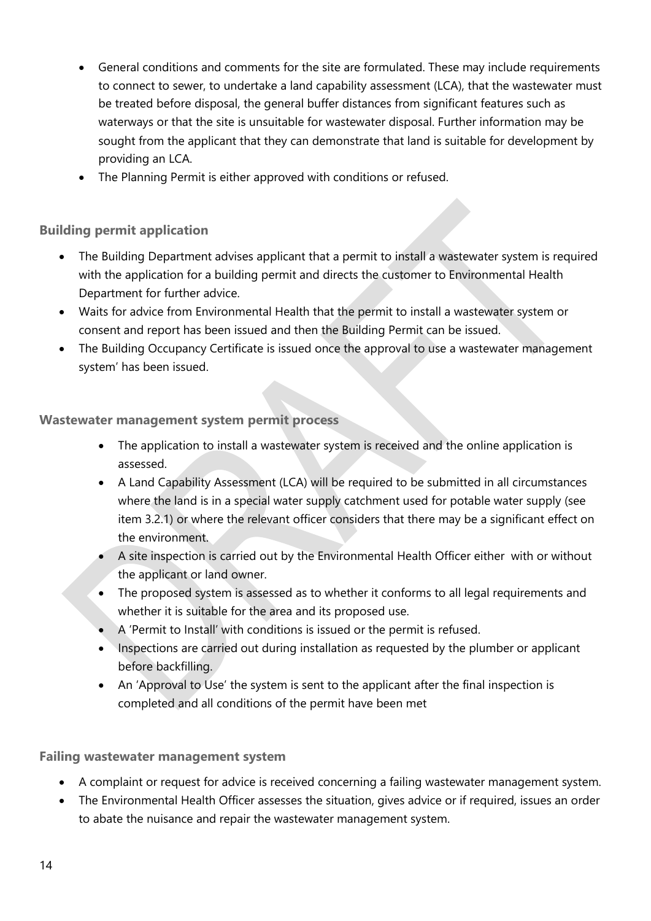- General conditions and comments for the site are formulated. These may include requirements to connect to sewer, to undertake a land capability assessment (LCA), that the wastewater must be treated before disposal, the general buffer distances from significant features such as waterways or that the site is unsuitable for wastewater disposal. Further information may be sought from the applicant that they can demonstrate that land is suitable for development by providing an LCA.
- The Planning Permit is either approved with conditions or refused.

## <span id="page-14-0"></span>**Building permit application**

- The Building Department advises applicant that a permit to install a wastewater system is required with the application for a building permit and directs the customer to Environmental Health Department for further advice.
- Waits for advice from Environmental Health that the permit to install a wastewater system or consent and report has been issued and then the Building Permit can be issued.
- The Building Occupancy Certificate is issued once the approval to use a wastewater management system' has been issued.

## <span id="page-14-1"></span>**Wastewater management system permit process**

- The application to install a wastewater system is received and the online application is assessed.
- A Land Capability Assessment (LCA) will be required to be submitted in all circumstances where the land is in a special water supply catchment used for potable water supply (see item 3.2.1) or where the relevant officer considers that there may be a significant effect on the environment.
- A site inspection is carried out by the Environmental Health Officer either with or without the applicant or land owner.
- The proposed system is assessed as to whether it conforms to all legal requirements and whether it is suitable for the area and its proposed use.
- A 'Permit to Install' with conditions is issued or the permit is refused.
- Inspections are carried out during installation as requested by the plumber or applicant before backfilling.
- An 'Approval to Use' the system is sent to the applicant after the final inspection is completed and all conditions of the permit have been met

## <span id="page-14-2"></span>**Failing wastewater management system**

- A complaint or request for advice is received concerning a failing wastewater management system.
- The Environmental Health Officer assesses the situation, gives advice or if required, issues an order to abate the nuisance and repair the wastewater management system.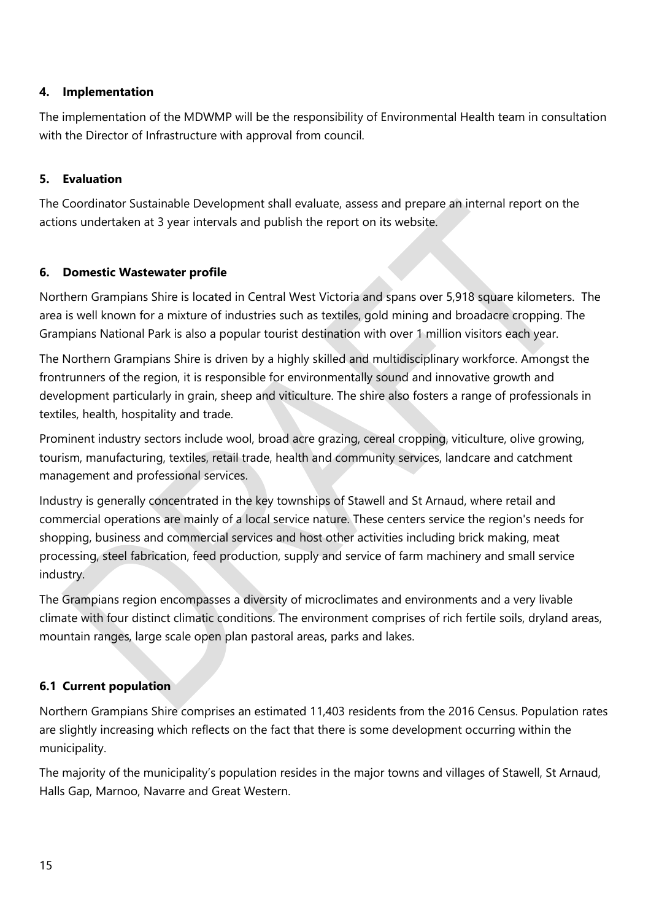#### <span id="page-15-0"></span>**4. Implementation**

The implementation of the MDWMP will be the responsibility of Environmental Health team in consultation with the Director of Infrastructure with approval from council.

#### <span id="page-15-1"></span>**5. Evaluation**

The Coordinator Sustainable Development shall evaluate, assess and prepare an internal report on the actions undertaken at 3 year intervals and publish the report on its website.

## <span id="page-15-2"></span>**6. Domestic Wastewater profile**

Northern Grampians Shire is located in Central West Victoria and spans over 5,918 square kilometers. The area is well known for a mixture of industries such as textiles, gold mining and broadacre cropping. The Grampians National Park is also a popular tourist destination with over 1 million visitors each year.

The Northern Grampians Shire is driven by a highly skilled and multidisciplinary workforce. Amongst the frontrunners of the region, it is responsible for environmentally sound and innovative growth and development particularly in grain, sheep and viticulture. The shire also fosters a range of professionals in textiles, health, hospitality and trade.

Prominent industry sectors include wool, broad acre grazing, cereal cropping, viticulture, olive growing, tourism, manufacturing, textiles, retail trade, health and community services, landcare and catchment management and professional services.

Industry is generally concentrated in the key townships of Stawell and St Arnaud, where retail and commercial operations are mainly of a local service nature. These centers service the region's needs for shopping, business and commercial services and host other activities including brick making, meat processing, steel fabrication, feed production, supply and service of farm machinery and small service industry.

The Grampians region encompasses a diversity of microclimates and environments and a very livable climate with four distinct climatic conditions. The environment comprises of rich fertile soils, dryland areas, mountain ranges, large scale open plan pastoral areas, parks and lakes.

## <span id="page-15-3"></span>**6.1 Current population**

Northern Grampians Shire comprises an estimated 11,403 residents from the 2016 Census. Population rates are slightly increasing which reflects on the fact that there is some development occurring within the municipality.

The majority of the municipality's population resides in the major towns and villages of Stawell, St Arnaud, Halls Gap, Marnoo, Navarre and Great Western.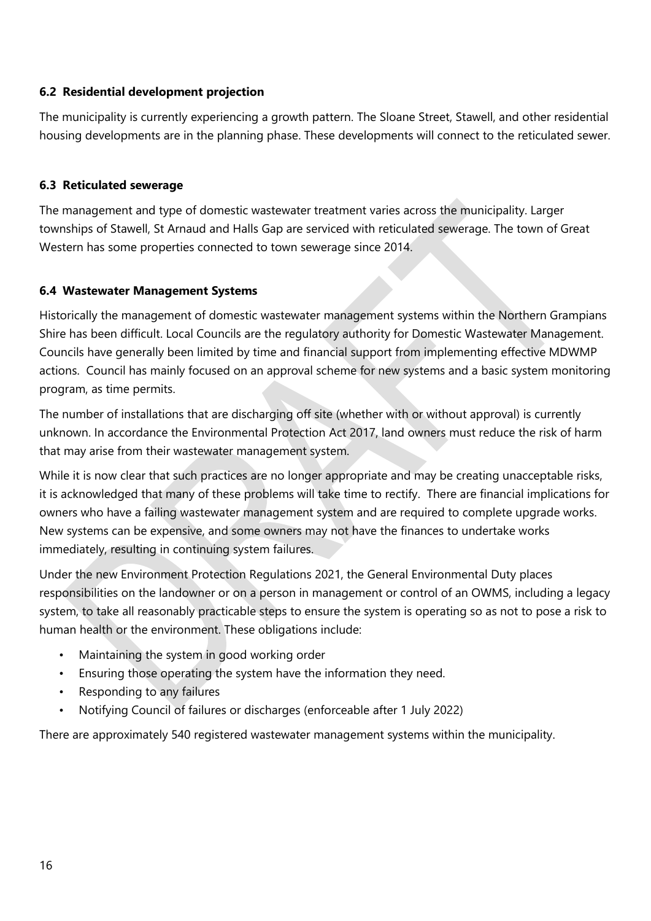#### <span id="page-16-0"></span>**6.2 Residential development projection**

The municipality is currently experiencing a growth pattern. The Sloane Street, Stawell, and other residential housing developments are in the planning phase. These developments will connect to the reticulated sewer.

#### <span id="page-16-1"></span>**6.3 Reticulated sewerage**

The management and type of domestic wastewater treatment varies across the municipality. Larger townships of Stawell, St Arnaud and Halls Gap are serviced with reticulated sewerage. The town of Great Western has some properties connected to town sewerage since 2014.

#### <span id="page-16-2"></span>**6.4 Wastewater Management Systems**

Historically the management of domestic wastewater management systems within the Northern Grampians Shire has been difficult. Local Councils are the regulatory authority for Domestic Wastewater Management. Councils have generally been limited by time and financial support from implementing effective MDWMP actions. Council has mainly focused on an approval scheme for new systems and a basic system monitoring program, as time permits.

The number of installations that are discharging off site (whether with or without approval) is currently unknown. In accordance the Environmental Protection Act 2017, land owners must reduce the risk of harm that may arise from their wastewater management system.

While it is now clear that such practices are no longer appropriate and may be creating unacceptable risks, it is acknowledged that many of these problems will take time to rectify. There are financial implications for owners who have a failing wastewater management system and are required to complete upgrade works. New systems can be expensive, and some owners may not have the finances to undertake works immediately, resulting in continuing system failures.

Under the new Environment Protection Regulations 2021, the General Environmental Duty places responsibilities on the landowner or on a person in management or control of an OWMS, including a legacy system, to take all reasonably practicable steps to ensure the system is operating so as not to pose a risk to human health or the environment. These obligations include:

- Maintaining the system in good working order
- Ensuring those operating the system have the information they need.
- Responding to any failures
- Notifying Council of failures or discharges (enforceable after 1 July 2022)

There are approximately 540 registered wastewater management systems within the municipality.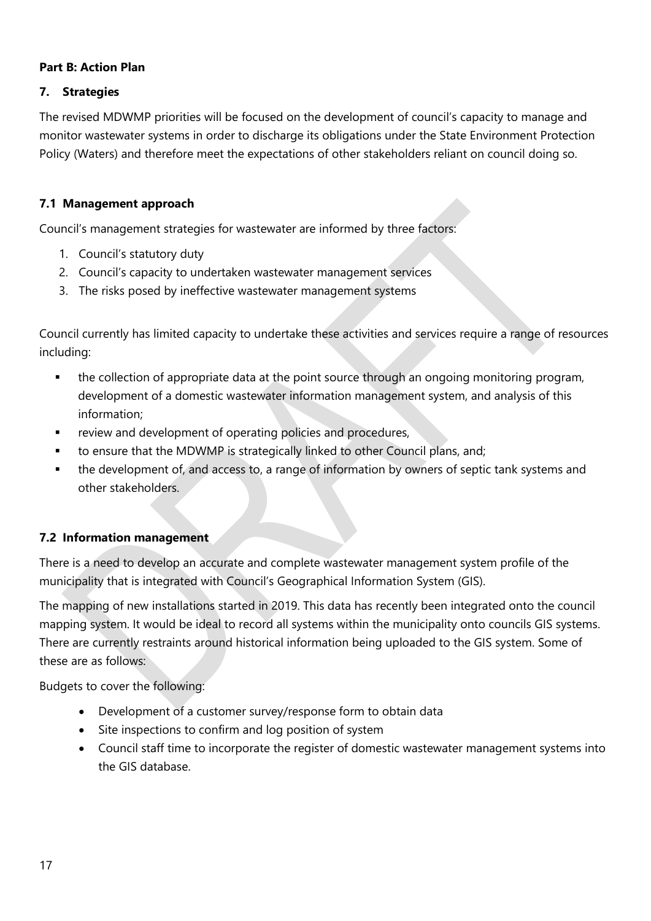#### <span id="page-17-0"></span>**Part B: Action Plan**

#### <span id="page-17-1"></span>**7. Strategies**

The revised MDWMP priorities will be focused on the development of council's capacity to manage and monitor wastewater systems in order to discharge its obligations under the State Environment Protection Policy (Waters) and therefore meet the expectations of other stakeholders reliant on council doing so.

#### <span id="page-17-2"></span>**7.1 Management approach**

Council's management strategies for wastewater are informed by three factors:

- 1. Council's statutory duty
- 2. Council's capacity to undertaken wastewater management services
- 3. The risks posed by ineffective wastewater management systems

Council currently has limited capacity to undertake these activities and services require a range of resources including:

- **•** the collection of appropriate data at the point source through an ongoing monitoring program, development of a domestic wastewater information management system, and analysis of this information;
- review and development of operating policies and procedures,
- to ensure that the MDWMP is strategically linked to other Council plans, and;
- the development of, and access to, a range of information by owners of septic tank systems and other stakeholders.

## <span id="page-17-3"></span>**7.2 Information management**

There is a need to develop an accurate and complete wastewater management system profile of the municipality that is integrated with Council's Geographical Information System (GIS).

The mapping of new installations started in 2019. This data has recently been integrated onto the council mapping system. It would be ideal to record all systems within the municipality onto councils GIS systems. There are currently restraints around historical information being uploaded to the GIS system. Some of these are as follows:

Budgets to cover the following:

- Development of a customer survey/response form to obtain data
- Site inspections to confirm and log position of system
- Council staff time to incorporate the register of domestic wastewater management systems into the GIS database.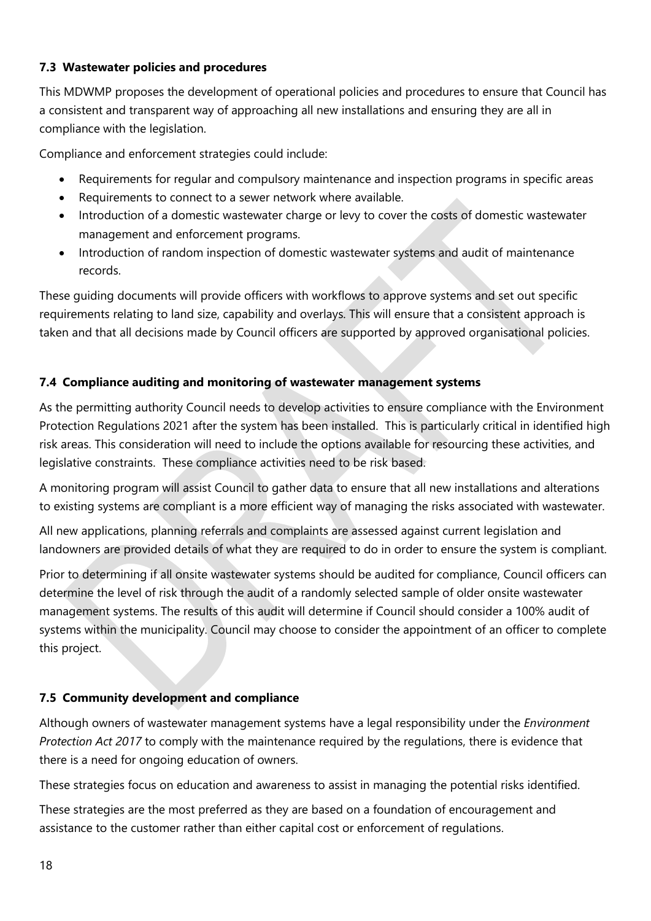#### <span id="page-18-0"></span>**7.3 Wastewater policies and procedures**

This MDWMP proposes the development of operational policies and procedures to ensure that Council has a consistent and transparent way of approaching all new installations and ensuring they are all in compliance with the legislation.

Compliance and enforcement strategies could include:

- Requirements for regular and compulsory maintenance and inspection programs in specific areas
- Requirements to connect to a sewer network where available.
- Introduction of a domestic wastewater charge or levy to cover the costs of domestic wastewater management and enforcement programs.
- Introduction of random inspection of domestic wastewater systems and audit of maintenance records.

These guiding documents will provide officers with workflows to approve systems and set out specific requirements relating to land size, capability and overlays. This will ensure that a consistent approach is taken and that all decisions made by Council officers are supported by approved organisational policies.

#### <span id="page-18-1"></span>**7.4 Compliance auditing and monitoring of wastewater management systems**

As the permitting authority Council needs to develop activities to ensure compliance with the Environment Protection Regulations 2021 after the system has been installed. This is particularly critical in identified high risk areas. This consideration will need to include the options available for resourcing these activities, and legislative constraints. These compliance activities need to be risk based.

A monitoring program will assist Council to gather data to ensure that all new installations and alterations to existing systems are compliant is a more efficient way of managing the risks associated with wastewater.

All new applications, planning referrals and complaints are assessed against current legislation and landowners are provided details of what they are required to do in order to ensure the system is compliant.

Prior to determining if all onsite wastewater systems should be audited for compliance, Council officers can determine the level of risk through the audit of a randomly selected sample of older onsite wastewater management systems. The results of this audit will determine if Council should consider a 100% audit of systems within the municipality. Council may choose to consider the appointment of an officer to complete this project.

## <span id="page-18-2"></span>**7.5 Community development and compliance**

Although owners of wastewater management systems have a legal responsibility under the *Environment Protection Act 2017* to comply with the maintenance required by the regulations, there is evidence that there is a need for ongoing education of owners.

These strategies focus on education and awareness to assist in managing the potential risks identified.

These strategies are the most preferred as they are based on a foundation of encouragement and assistance to the customer rather than either capital cost or enforcement of regulations.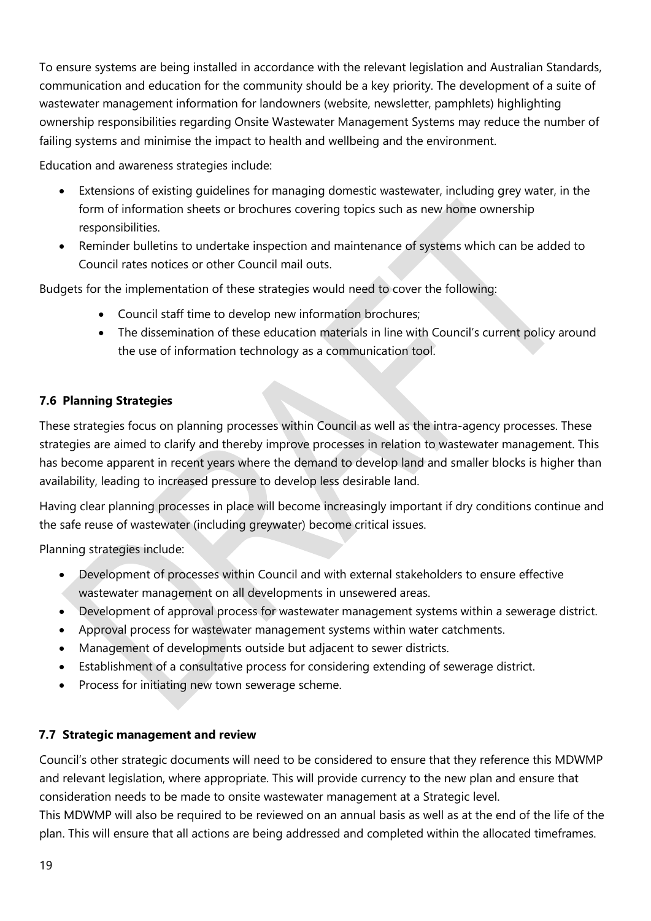To ensure systems are being installed in accordance with the relevant legislation and Australian Standards, communication and education for the community should be a key priority. The development of a suite of wastewater management information for landowners (website, newsletter, pamphlets) highlighting ownership responsibilities regarding Onsite Wastewater Management Systems may reduce the number of failing systems and minimise the impact to health and wellbeing and the environment.

Education and awareness strategies include:

- Extensions of existing guidelines for managing domestic wastewater, including grey water, in the form of information sheets or brochures covering topics such as new home ownership responsibilities.
- Reminder bulletins to undertake inspection and maintenance of systems which can be added to Council rates notices or other Council mail outs.

Budgets for the implementation of these strategies would need to cover the following:

- Council staff time to develop new information brochures;
- The dissemination of these education materials in line with Council's current policy around the use of information technology as a communication tool.

#### <span id="page-19-0"></span>**7.6 Planning Strategies**

These strategies focus on planning processes within Council as well as the intra-agency processes. These strategies are aimed to clarify and thereby improve processes in relation to wastewater management. This has become apparent in recent years where the demand to develop land and smaller blocks is higher than availability, leading to increased pressure to develop less desirable land.

Having clear planning processes in place will become increasingly important if dry conditions continue and the safe reuse of wastewater (including greywater) become critical issues.

Planning strategies include:

- Development of processes within Council and with external stakeholders to ensure effective wastewater management on all developments in unsewered areas.
- Development of approval process for wastewater management systems within a sewerage district.
- Approval process for wastewater management systems within water catchments.
- Management of developments outside but adjacent to sewer districts.
- Establishment of a consultative process for considering extending of sewerage district.
- Process for initiating new town sewerage scheme.

#### <span id="page-19-1"></span>**7.7 Strategic management and review**

Council's other strategic documents will need to be considered to ensure that they reference this MDWMP and relevant legislation, where appropriate. This will provide currency to the new plan and ensure that consideration needs to be made to onsite wastewater management at a Strategic level.

This MDWMP will also be required to be reviewed on an annual basis as well as at the end of the life of the plan. This will ensure that all actions are being addressed and completed within the allocated timeframes.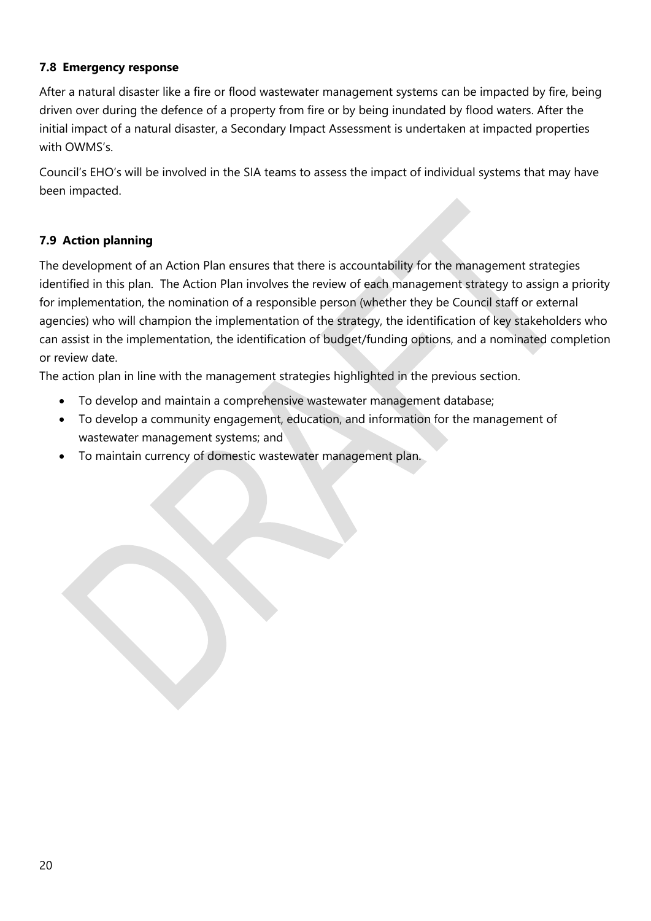#### <span id="page-20-0"></span>**7.8 Emergency response**

After a natural disaster like a fire or flood wastewater management systems can be impacted by fire, being driven over during the defence of a property from fire or by being inundated by flood waters. After the initial impact of a natural disaster, a Secondary Impact Assessment is undertaken at impacted properties with OWMS's.

Council's EHO's will be involved in the SIA teams to assess the impact of individual systems that may have been impacted.

## <span id="page-20-1"></span>**7.9 Action planning**

The development of an Action Plan ensures that there is accountability for the management strategies identified in this plan. The Action Plan involves the review of each management strategy to assign a priority for implementation, the nomination of a responsible person (whether they be Council staff or external agencies) who will champion the implementation of the strategy, the identification of key stakeholders who can assist in the implementation, the identification of budget/funding options, and a nominated completion or review date.

The action plan in line with the management strategies highlighted in the previous section.

- To develop and maintain a comprehensive wastewater management database;
- To develop a community engagement, education, and information for the management of wastewater management systems; and
- To maintain currency of domestic wastewater management plan.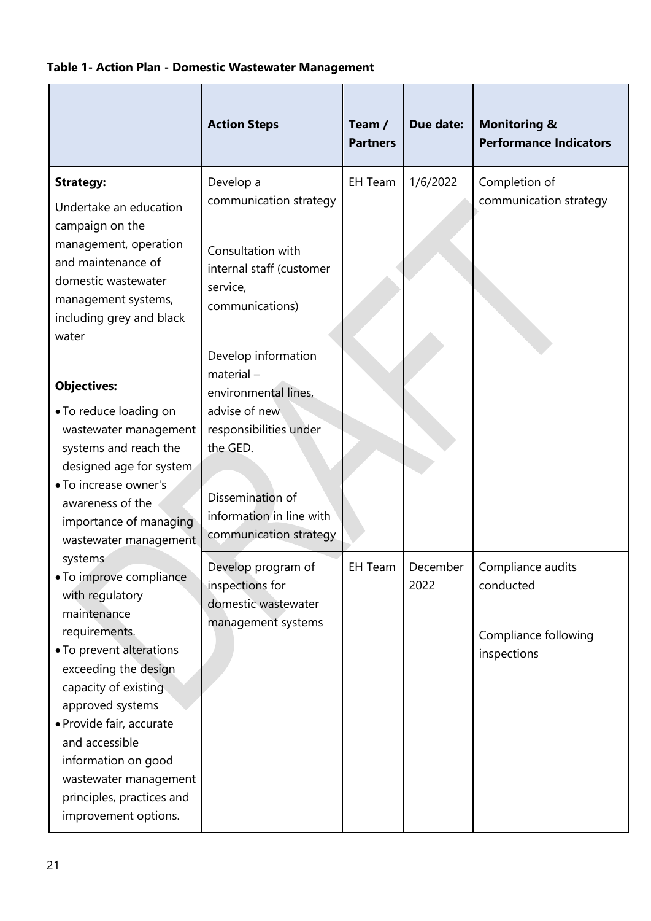## <span id="page-21-0"></span>**Table 1- Action Plan - Domestic Wastewater Management**

|                                                                                                                                                  | <b>Action Steps</b>                                                                                 | Team /<br><b>Partners</b> | Due date:        | <b>Monitoring &amp;</b><br><b>Performance Indicators</b> |
|--------------------------------------------------------------------------------------------------------------------------------------------------|-----------------------------------------------------------------------------------------------------|---------------------------|------------------|----------------------------------------------------------|
| <b>Strategy:</b><br>Undertake an education<br>campaign on the<br>management, operation<br>and maintenance of<br>domestic wastewater              | Develop a<br>communication strategy<br>Consultation with<br>internal staff (customer                | EH Team                   | 1/6/2022         | Completion of<br>communication strategy                  |
| management systems,<br>including grey and black<br>water                                                                                         | service,<br>communications)<br>Develop information                                                  |                           |                  |                                                          |
| <b>Objectives:</b>                                                                                                                               | $material -$<br>environmental lines,                                                                |                           |                  |                                                          |
| • To reduce loading on<br>wastewater management<br>systems and reach the<br>designed age for system<br>• To increase owner's<br>awareness of the | advise of new<br>responsibilities under<br>the GED.<br>Dissemination of<br>information in line with |                           |                  |                                                          |
| importance of managing<br>wastewater management                                                                                                  | communication strategy                                                                              |                           |                  |                                                          |
| systems<br>• To improve compliance<br>with regulatory<br>maintenance<br>requirements.                                                            | Develop program of<br>inspections for<br>domestic wastewater<br>management systems                  | EH Team                   | December<br>2022 | Compliance audits<br>conducted<br>Compliance following   |
| • To prevent alterations<br>exceeding the design<br>capacity of existing<br>approved systems                                                     |                                                                                                     |                           |                  | inspections                                              |
| · Provide fair, accurate<br>and accessible<br>information on good<br>wastewater management<br>principles, practices and<br>improvement options.  |                                                                                                     |                           |                  |                                                          |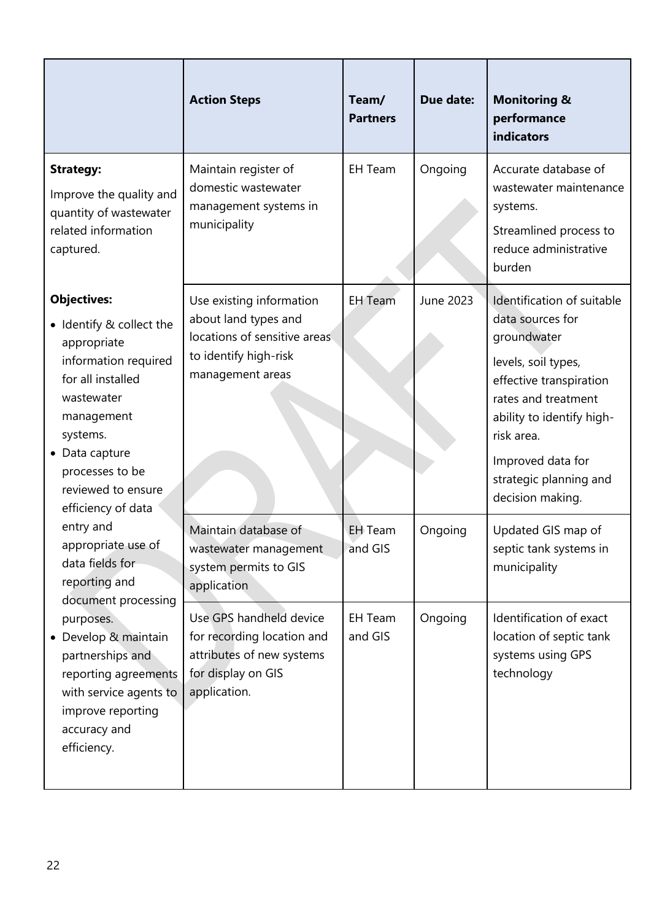|                                                                                                                                                                                                                                     | <b>Action Steps</b>                                                                                                           | Team/<br><b>Partners</b>  | Due date: | <b>Monitoring &amp;</b><br>performance<br>indicators                                                                                                                                                                                                 |
|-------------------------------------------------------------------------------------------------------------------------------------------------------------------------------------------------------------------------------------|-------------------------------------------------------------------------------------------------------------------------------|---------------------------|-----------|------------------------------------------------------------------------------------------------------------------------------------------------------------------------------------------------------------------------------------------------------|
| <b>Strategy:</b><br>Improve the quality and<br>quantity of wastewater<br>related information<br>captured.                                                                                                                           | Maintain register of<br>domestic wastewater<br>management systems in<br>municipality                                          | <b>EH Team</b>            | Ongoing   | Accurate database of<br>wastewater maintenance<br>systems.<br>Streamlined process to<br>reduce administrative<br>burden                                                                                                                              |
| <b>Objectives:</b><br>• Identify & collect the<br>appropriate<br>information required<br>for all installed<br>wastewater<br>management<br>systems.<br>• Data capture<br>processes to be<br>reviewed to ensure<br>efficiency of data | Use existing information<br>about land types and<br>locations of sensitive areas<br>to identify high-risk<br>management areas | <b>EH</b> Team            | June 2023 | Identification of suitable<br>data sources for<br>groundwater<br>levels, soil types,<br>effective transpiration<br>rates and treatment<br>ability to identify high-<br>risk area.<br>Improved data for<br>strategic planning and<br>decision making. |
| entry and<br>appropriate use of<br>data fields for<br>reporting and<br>document processing                                                                                                                                          | Maintain database of<br>wastewater management<br>system permits to GIS<br>application                                         | <b>EH</b> Team<br>and GIS | Ongoing   | Updated GIS map of<br>septic tank systems in<br>municipality                                                                                                                                                                                         |
| purposes.<br>• Develop & maintain<br>partnerships and<br>reporting agreements<br>with service agents to<br>improve reporting<br>accuracy and<br>efficiency.                                                                         | Use GPS handheld device<br>for recording location and<br>attributes of new systems<br>for display on GIS<br>application.      | <b>EH Team</b><br>and GIS | Ongoing   | Identification of exact<br>location of septic tank<br>systems using GPS<br>technology                                                                                                                                                                |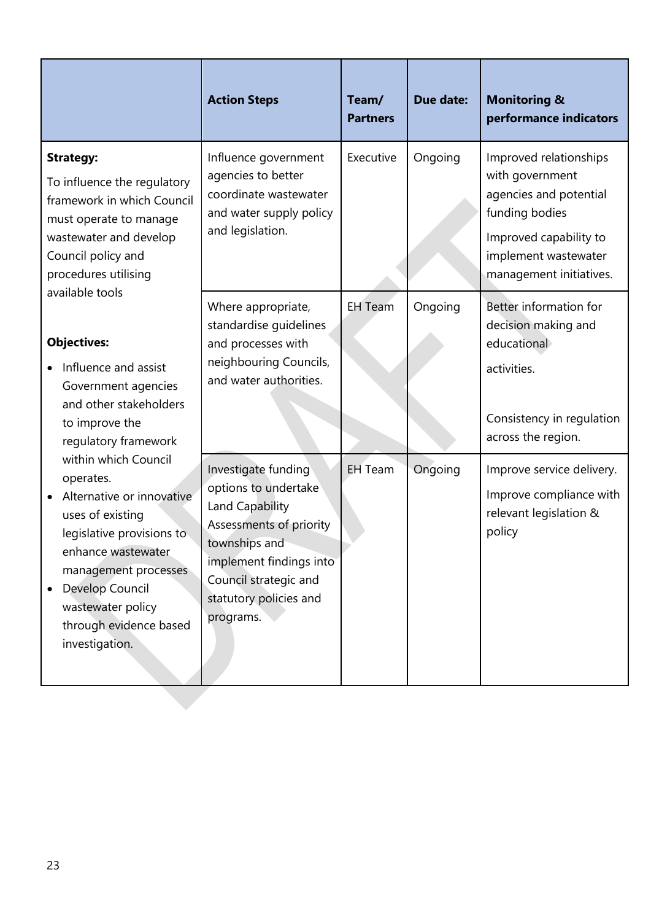|                                                                                                                                                                                                                                                                                                                                                                                                               | <b>Action Steps</b>                                                                                                                                                                                   | Team/<br><b>Partners</b> | <b>Due date:</b> | <b>Monitoring &amp;</b><br>performance indicators                                                                                                                  |
|---------------------------------------------------------------------------------------------------------------------------------------------------------------------------------------------------------------------------------------------------------------------------------------------------------------------------------------------------------------------------------------------------------------|-------------------------------------------------------------------------------------------------------------------------------------------------------------------------------------------------------|--------------------------|------------------|--------------------------------------------------------------------------------------------------------------------------------------------------------------------|
| <b>Strategy:</b><br>To influence the regulatory<br>framework in which Council<br>must operate to manage<br>wastewater and develop<br>Council policy and<br>procedures utilising                                                                                                                                                                                                                               | Influence government<br>agencies to better<br>coordinate wastewater<br>and water supply policy<br>and legislation.                                                                                    | Executive                | Ongoing          | Improved relationships<br>with government<br>agencies and potential<br>funding bodies<br>Improved capability to<br>implement wastewater<br>management initiatives. |
| available tools<br><b>Objectives:</b><br>Influence and assist<br>Government agencies<br>and other stakeholders<br>to improve the<br>regulatory framework<br>within which Council<br>operates.<br>Alternative or innovative<br>uses of existing<br>legislative provisions to<br>enhance wastewater<br>management processes<br>Develop Council<br>wastewater policy<br>through evidence based<br>investigation. | Where appropriate,<br>standardise quidelines<br>and processes with<br>neighbouring Councils,<br>and water authorities.                                                                                | <b>EH</b> Team           | Ongoing          | Better information for<br>decision making and<br>educational<br>activities.<br>Consistency in regulation<br>across the region.                                     |
|                                                                                                                                                                                                                                                                                                                                                                                                               | Investigate funding<br>options to undertake<br>Land Capability<br>Assessments of priority<br>townships and<br>implement findings into<br>Council strategic and<br>statutory policies and<br>programs. | <b>EH</b> Team           | Ongoing          | Improve service delivery.<br>Improve compliance with<br>relevant legislation &<br>policy                                                                           |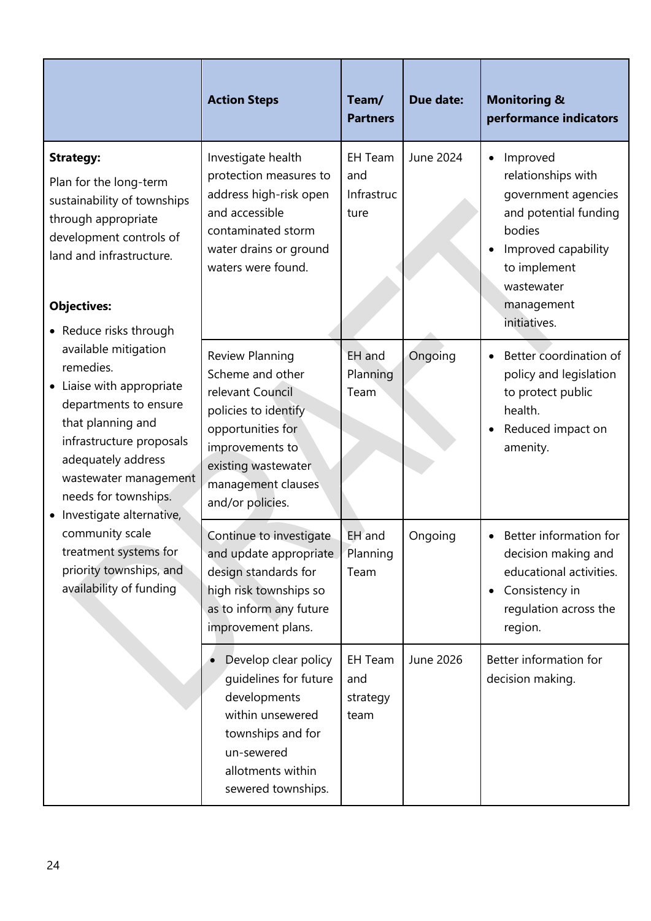|                                                                                                                                                                                                                                                                       | <b>Action Steps</b>                                                                                                                                                                      | Team/<br><b>Partners</b>                    | Due date: | <b>Monitoring &amp;</b><br>performance indicators                                                                                                                                        |
|-----------------------------------------------------------------------------------------------------------------------------------------------------------------------------------------------------------------------------------------------------------------------|------------------------------------------------------------------------------------------------------------------------------------------------------------------------------------------|---------------------------------------------|-----------|------------------------------------------------------------------------------------------------------------------------------------------------------------------------------------------|
| <b>Strategy:</b><br>Plan for the long-term<br>sustainability of townships<br>through appropriate<br>development controls of<br>land and infrastructure.<br><b>Objectives:</b>                                                                                         | Investigate health<br>protection measures to<br>address high-risk open<br>and accessible<br>contaminated storm<br>water drains or ground<br>waters were found.                           | <b>EH Team</b><br>and<br>Infrastruc<br>ture | June 2024 | Improved<br>$\bullet$<br>relationships with<br>government agencies<br>and potential funding<br>bodies<br>Improved capability<br>to implement<br>wastewater<br>management<br>initiatives. |
| • Reduce risks through<br>available mitigation<br>remedies.<br>• Liaise with appropriate<br>departments to ensure<br>that planning and<br>infrastructure proposals<br>adequately address<br>wastewater management<br>needs for townships.<br>Investigate alternative, | Review Planning<br>Scheme and other<br>relevant Council<br>policies to identify<br>opportunities for<br>improvements to<br>existing wastewater<br>management clauses<br>and/or policies. | EH and<br>Planning<br>Team                  | Ongoing   | Better coordination of<br>policy and legislation<br>to protect public<br>health.<br>Reduced impact on<br>amenity.                                                                        |
| community scale<br>treatment systems for<br>priority townships, and<br>availability of funding                                                                                                                                                                        | Continue to investigate<br>and update appropriate<br>design standards for<br>high risk townships so<br>as to inform any future<br>improvement plans.                                     | EH and<br>Planning<br>Team                  | Ongoing   | Better information for<br>decision making and<br>educational activities.<br>Consistency in<br>$\bullet$<br>regulation across the<br>region.                                              |
|                                                                                                                                                                                                                                                                       | Develop clear policy<br>quidelines for future<br>developments<br>within unsewered<br>townships and for<br>un-sewered<br>allotments within<br>sewered townships.                          | <b>EH Team</b><br>and<br>strategy<br>team   | June 2026 | Better information for<br>decision making.                                                                                                                                               |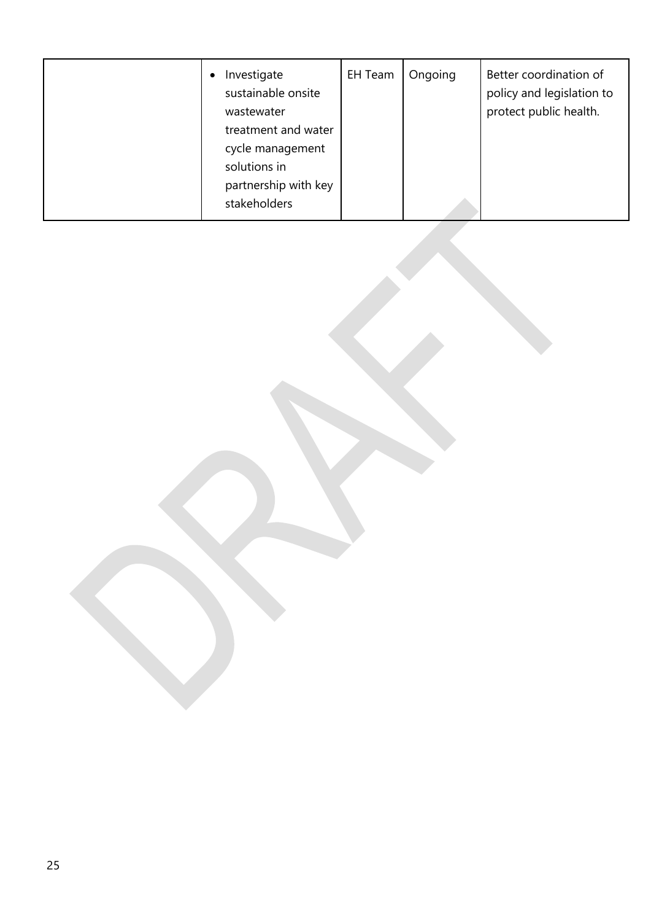| Investigate<br>$\bullet$<br>sustainable onsite<br>wastewater<br>treatment and water<br>cycle management<br>solutions in<br>partnership with key | EH Team | Ongoing | Better coordination of<br>policy and legislation to<br>protect public health. |
|-------------------------------------------------------------------------------------------------------------------------------------------------|---------|---------|-------------------------------------------------------------------------------|
| stakeholders                                                                                                                                    |         |         |                                                                               |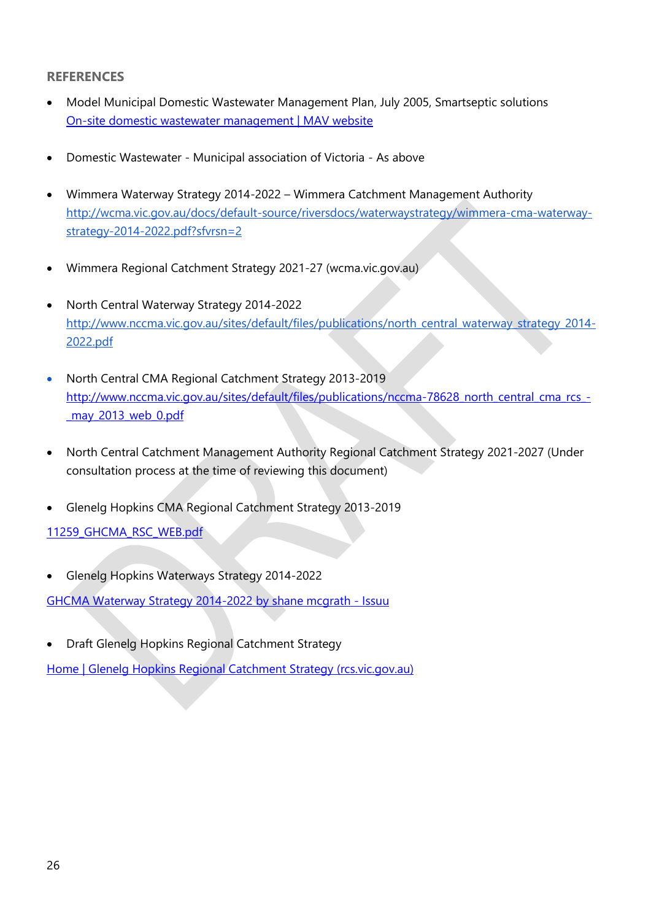#### <span id="page-26-0"></span>**REFERENCES**

- Model Municipal Domestic Wastewater Management Plan, July 2005, Smartseptic solutions [On-site domestic wastewater management | MAV website](https://www.mav.asn.au/what-we-do/policy-advocacy/environment-water/on-site-domestic-wastewater-management)
- Domestic Wastewater Municipal association of Victoria As above
- Wimmera Waterway Strategy 2014-2022 Wimmera Catchment Management Authority [http://wcma.vic.gov.au/docs/default-source/riversdocs/waterwaystrategy/wimmera-cma-waterway](http://wcma.vic.gov.au/docs/default-source/riversdocs/waterwaystrategy/wimmera-cma-waterway-strategy-2014-2022.pdf?sfvrsn=2)[strategy-2014-2022.pdf?sfvrsn=2](http://wcma.vic.gov.au/docs/default-source/riversdocs/waterwaystrategy/wimmera-cma-waterway-strategy-2014-2022.pdf?sfvrsn=2)
- [Wimmera Regional Catchment Strategy 2021-27 \(wcma.vic.gov.au\)](http://wcma.vic.gov.au/RCS2021)
- North Central Waterway Strategy 2014-2022 [http://www.nccma.vic.gov.au/sites/default/files/publications/north\\_central\\_waterway\\_strategy\\_2014-](http://www.nccma.vic.gov.au/sites/default/files/publications/north_central_waterway_strategy_2014-2022.pdf) [2022.pdf](http://www.nccma.vic.gov.au/sites/default/files/publications/north_central_waterway_strategy_2014-2022.pdf)
- North Central CMA Regional Catchment Strategy 2013-2019 [http://www.nccma.vic.gov.au/sites/default/files/publications/nccma-78628\\_north\\_central\\_cma\\_rcs\\_-](http://www.nccma.vic.gov.au/sites/default/files/publications/nccma-78628_north_central_cma_rcs_-_may_2013_web_0.pdf) [\\_may\\_2013\\_web\\_0.pdf](http://www.nccma.vic.gov.au/sites/default/files/publications/nccma-78628_north_central_cma_rcs_-_may_2013_web_0.pdf)
- North Central Catchment Management Authority Regional Catchment Strategy 2021-2027 (Under consultation process at the time of reviewing this document)
- Glenelg Hopkins CMA Regional Catchment Strategy 2013-2019

11259 GHCMA RSC WEB.pdf

• Glenelg Hopkins Waterways Strategy 2014-2022

[GHCMA Waterway Strategy 2014-2022 by shane mcgrath -](https://issuu.com/gsdm/docs/ghcma_waterway_strategy_2014-2022?e=1695326/59252262) Issuu

• Draft Glenelg Hopkins Regional Catchment Strategy

[Home | Glenelg Hopkins Regional Catchment Strategy \(rcs.vic.gov.au\)](https://glenelghopkins.rcs.vic.gov.au/#:~:text=The%20Glenelg%20Hopkins%20Regional%20Catchment%20Strategy%20%28RCS%29%20is,Owners%20and%20regional%20agencies%2C%20organisations%2C%20groups%20and%20communities.)